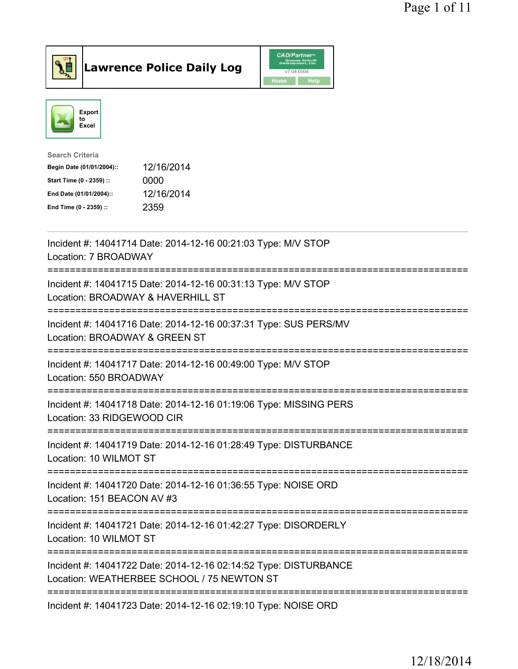



| <b>Search Criteria</b>    |            |
|---------------------------|------------|
| Begin Date (01/01/2004):: | 12/16/2014 |
| Start Time (0 - 2359) ::  | 0000       |
| End Date (01/01/2004)::   | 12/16/2014 |
| End Time (0 - 2359) ::    | 2359       |
|                           |            |

| Incident #: 14041714 Date: 2014-12-16 00:21:03 Type: M/V STOP<br>Location: 7 BROADWAY                                                        |
|----------------------------------------------------------------------------------------------------------------------------------------------|
| Incident #: 14041715 Date: 2014-12-16 00:31:13 Type: M/V STOP<br>Location: BROADWAY & HAVERHILL ST<br>------------<br>---------------------- |
| Incident #: 14041716 Date: 2014-12-16 00:37:31 Type: SUS PERS/MV<br>Location: BROADWAY & GREEN ST<br>----------------------                  |
| Incident #: 14041717 Date: 2014-12-16 00:49:00 Type: M/V STOP<br>Location: 550 BROADWAY<br>-------------------------------------             |
| Incident #: 14041718 Date: 2014-12-16 01:19:06 Type: MISSING PERS<br>Location: 33 RIDGEWOOD CIR                                              |
| Incident #: 14041719 Date: 2014-12-16 01:28:49 Type: DISTURBANCE<br>Location: 10 WILMOT ST                                                   |
| Incident #: 14041720 Date: 2014-12-16 01:36:55 Type: NOISE ORD<br>Location: 151 BEACON AV #3                                                 |
| Incident #: 14041721 Date: 2014-12-16 01:42:27 Type: DISORDERLY<br>Location: 10 WILMOT ST                                                    |
| Incident #: 14041722 Date: 2014-12-16 02:14:52 Type: DISTURBANCE<br>Location: WEATHERBEE SCHOOL / 75 NEWTON ST                               |
| Incident #: 14041723 Date: 2014-12-16 02:19:10 Type: NOISE ORD                                                                               |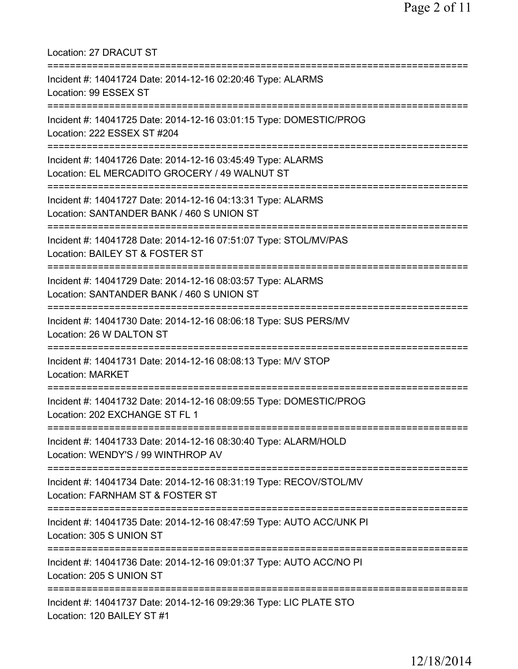| Location: 27 DRACUT ST                                                                                                                             |
|----------------------------------------------------------------------------------------------------------------------------------------------------|
| Incident #: 14041724 Date: 2014-12-16 02:20:46 Type: ALARMS<br>Location: 99 ESSEX ST                                                               |
| Incident #: 14041725 Date: 2014-12-16 03:01:15 Type: DOMESTIC/PROG<br>Location: 222 ESSEX ST #204                                                  |
| Incident #: 14041726 Date: 2014-12-16 03:45:49 Type: ALARMS<br>Location: EL MERCADITO GROCERY / 49 WALNUT ST                                       |
| Incident #: 14041727 Date: 2014-12-16 04:13:31 Type: ALARMS<br>Location: SANTANDER BANK / 460 S UNION ST                                           |
| Incident #: 14041728 Date: 2014-12-16 07:51:07 Type: STOL/MV/PAS<br>Location: BAILEY ST & FOSTER ST                                                |
| Incident #: 14041729 Date: 2014-12-16 08:03:57 Type: ALARMS<br>Location: SANTANDER BANK / 460 S UNION ST<br>;===================================== |
| Incident #: 14041730 Date: 2014-12-16 08:06:18 Type: SUS PERS/MV<br>Location: 26 W DALTON ST                                                       |
| Incident #: 14041731 Date: 2014-12-16 08:08:13 Type: M/V STOP<br><b>Location: MARKET</b>                                                           |
| Incident #: 14041732 Date: 2014-12-16 08:09:55 Type: DOMESTIC/PROG<br>Location: 202 EXCHANGE ST FL 1                                               |
| Incident #: 14041733 Date: 2014-12-16 08:30:40 Type: ALARM/HOLD<br>Location: WENDY'S / 99 WINTHROP AV                                              |
| Incident #: 14041734 Date: 2014-12-16 08:31:19 Type: RECOV/STOL/MV<br>Location: FARNHAM ST & FOSTER ST                                             |
| Incident #: 14041735 Date: 2014-12-16 08:47:59 Type: AUTO ACC/UNK PI<br>Location: 305 S UNION ST                                                   |
| Incident #: 14041736 Date: 2014-12-16 09:01:37 Type: AUTO ACC/NO PI<br>Location: 205 S UNION ST                                                    |
| Incident #: 14041737 Date: 2014-12-16 09:29:36 Type: LIC PLATE STO<br>Location: 120 BAILEY ST #1                                                   |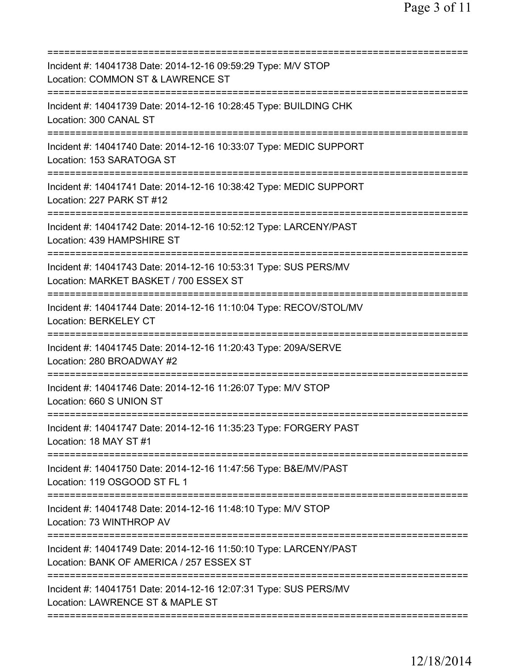| Incident #: 14041738 Date: 2014-12-16 09:59:29 Type: M/V STOP<br>Location: COMMON ST & LAWRENCE ST                                                   |
|------------------------------------------------------------------------------------------------------------------------------------------------------|
| Incident #: 14041739 Date: 2014-12-16 10:28:45 Type: BUILDING CHK<br>Location: 300 CANAL ST                                                          |
| Incident #: 14041740 Date: 2014-12-16 10:33:07 Type: MEDIC SUPPORT<br>Location: 153 SARATOGA ST                                                      |
| Incident #: 14041741 Date: 2014-12-16 10:38:42 Type: MEDIC SUPPORT<br>Location: 227 PARK ST #12                                                      |
| Incident #: 14041742 Date: 2014-12-16 10:52:12 Type: LARCENY/PAST<br>Location: 439 HAMPSHIRE ST                                                      |
| Incident #: 14041743 Date: 2014-12-16 10:53:31 Type: SUS PERS/MV<br>Location: MARKET BASKET / 700 ESSEX ST                                           |
| Incident #: 14041744 Date: 2014-12-16 11:10:04 Type: RECOV/STOL/MV<br>Location: BERKELEY CT                                                          |
| Incident #: 14041745 Date: 2014-12-16 11:20:43 Type: 209A/SERVE<br>Location: 280 BROADWAY #2                                                         |
| Incident #: 14041746 Date: 2014-12-16 11:26:07 Type: M/V STOP<br>Location: 660 S UNION ST                                                            |
| Incident #: 14041747 Date: 2014-12-16 11:35:23 Type: FORGERY PAST<br>Location: 18 MAY ST #1                                                          |
| Incident #: 14041750 Date: 2014-12-16 11:47:56 Type: B&E/MV/PAST<br>Location: 119 OSGOOD ST FL 1                                                     |
| Incident #: 14041748 Date: 2014-12-16 11:48:10 Type: M/V STOP<br>Location: 73 WINTHROP AV                                                            |
| Incident #: 14041749 Date: 2014-12-16 11:50:10 Type: LARCENY/PAST<br>Location: BANK OF AMERICA / 257 ESSEX ST<br>=================================== |
| Incident #: 14041751 Date: 2014-12-16 12:07:31 Type: SUS PERS/MV<br>Location: LAWRENCE ST & MAPLE ST                                                 |
|                                                                                                                                                      |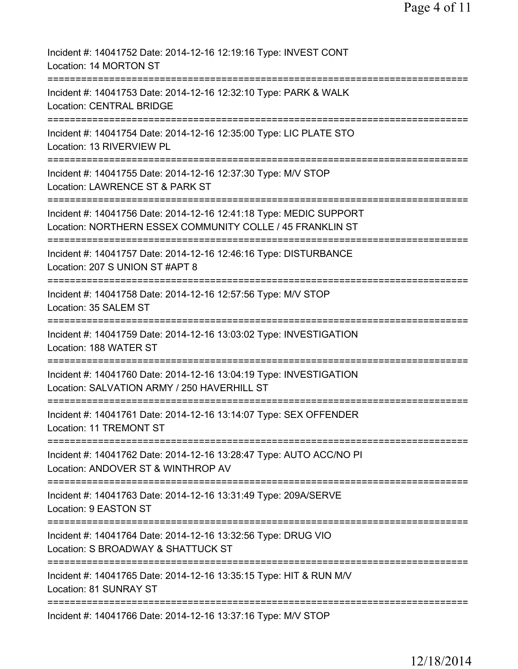| Incident #: 14041752 Date: 2014-12-16 12:19:16 Type: INVEST CONT<br>Location: 14 MORTON ST                                               |
|------------------------------------------------------------------------------------------------------------------------------------------|
| Incident #: 14041753 Date: 2014-12-16 12:32:10 Type: PARK & WALK<br><b>Location: CENTRAL BRIDGE</b>                                      |
| Incident #: 14041754 Date: 2014-12-16 12:35:00 Type: LIC PLATE STO<br>Location: 13 RIVERVIEW PL                                          |
| Incident #: 14041755 Date: 2014-12-16 12:37:30 Type: M/V STOP<br>Location: LAWRENCE ST & PARK ST                                         |
| Incident #: 14041756 Date: 2014-12-16 12:41:18 Type: MEDIC SUPPORT<br>Location: NORTHERN ESSEX COMMUNITY COLLE / 45 FRANKLIN ST          |
| Incident #: 14041757 Date: 2014-12-16 12:46:16 Type: DISTURBANCE<br>Location: 207 S UNION ST #APT 8                                      |
| Incident #: 14041758 Date: 2014-12-16 12:57:56 Type: M/V STOP<br>Location: 35 SALEM ST                                                   |
| Incident #: 14041759 Date: 2014-12-16 13:03:02 Type: INVESTIGATION<br>Location: 188 WATER ST                                             |
| ===================<br>Incident #: 14041760 Date: 2014-12-16 13:04:19 Type: INVESTIGATION<br>Location: SALVATION ARMY / 250 HAVERHILL ST |
| Incident #: 14041761 Date: 2014-12-16 13:14:07 Type: SEX OFFENDER<br>Location: 11 TREMONT ST                                             |
| Incident #: 14041762 Date: 2014-12-16 13:28:47 Type: AUTO ACC/NO PI<br>Location: ANDOVER ST & WINTHROP AV                                |
| ===============================<br>Incident #: 14041763 Date: 2014-12-16 13:31:49 Type: 209A/SERVE<br>Location: 9 EASTON ST              |
| Incident #: 14041764 Date: 2014-12-16 13:32:56 Type: DRUG VIO<br>Location: S BROADWAY & SHATTUCK ST                                      |
| Incident #: 14041765 Date: 2014-12-16 13:35:15 Type: HIT & RUN M/V<br>Location: 81 SUNRAY ST                                             |
| Incident #: 14041766 Date: 2014-12-16 13:37:16 Type: M/V STOP                                                                            |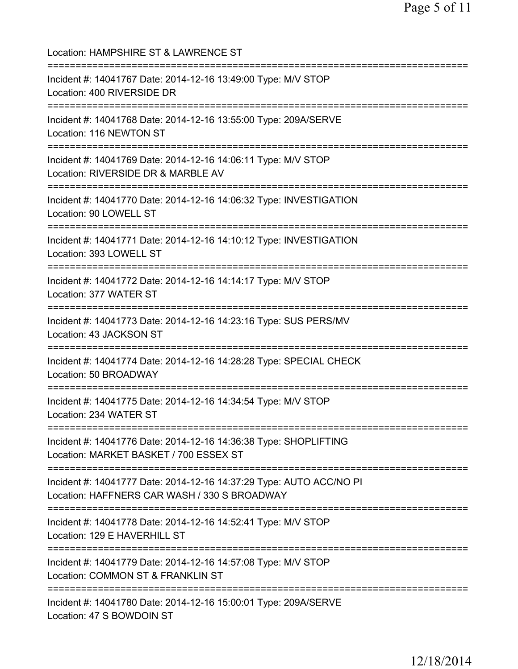Location: HAMPSHIRE ST & LAWRENCE ST =========================================================================== Incident #: 14041767 Date: 2014-12-16 13:49:00 Type: M/V STOP Location: 400 RIVERSIDE DR =========================================================================== Incident #: 14041768 Date: 2014-12-16 13:55:00 Type: 209A/SERVE Location: 116 NEWTON ST =========================================================================== Incident #: 14041769 Date: 2014-12-16 14:06:11 Type: M/V STOP Location: RIVERSIDE DR & MARBLE AV =========================================================================== Incident #: 14041770 Date: 2014-12-16 14:06:32 Type: INVESTIGATION Location: 90 LOWELL ST =========================================================================== Incident #: 14041771 Date: 2014-12-16 14:10:12 Type: INVESTIGATION Location: 393 LOWELL ST =========================================================================== Incident #: 14041772 Date: 2014-12-16 14:14:17 Type: M/V STOP Location: 377 WATER ST =========================================================================== Incident #: 14041773 Date: 2014-12-16 14:23:16 Type: SUS PERS/MV Location: 43 JACKSON ST =========================================================================== Incident #: 14041774 Date: 2014-12-16 14:28:28 Type: SPECIAL CHECK Location: 50 BROADWAY =========================================================================== Incident #: 14041775 Date: 2014-12-16 14:34:54 Type: M/V STOP Location: 234 WATER ST =========================================================================== Incident #: 14041776 Date: 2014-12-16 14:36:38 Type: SHOPLIFTING Location: MARKET BASKET / 700 ESSEX ST =========================================================================== Incident #: 14041777 Date: 2014-12-16 14:37:29 Type: AUTO ACC/NO PI Location: HAFFNERS CAR WASH / 330 S BROADWAY =========================================================================== Incident #: 14041778 Date: 2014-12-16 14:52:41 Type: M/V STOP Location: 129 E HAVERHILL ST =========================================================================== Incident #: 14041779 Date: 2014-12-16 14:57:08 Type: M/V STOP Location: COMMON ST & FRANKLIN ST =========================================================================== Incident #: 14041780 Date: 2014-12-16 15:00:01 Type: 209A/SERVE Location: 47 S BOWDOIN ST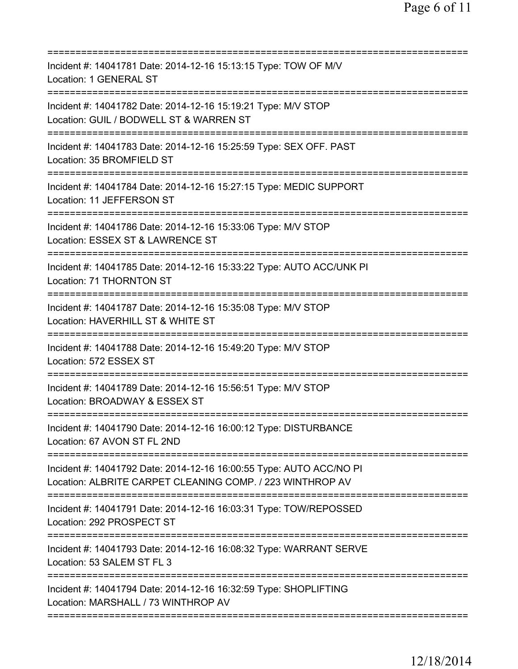| Incident #: 14041781 Date: 2014-12-16 15:13:15 Type: TOW OF M/V<br><b>Location: 1 GENERAL ST</b><br>===================<br>================ |
|---------------------------------------------------------------------------------------------------------------------------------------------|
| Incident #: 14041782 Date: 2014-12-16 15:19:21 Type: M/V STOP<br>Location: GUIL / BODWELL ST & WARREN ST                                    |
| Incident #: 14041783 Date: 2014-12-16 15:25:59 Type: SEX OFF. PAST<br>Location: 35 BROMFIELD ST                                             |
| Incident #: 14041784 Date: 2014-12-16 15:27:15 Type: MEDIC SUPPORT<br>Location: 11 JEFFERSON ST                                             |
| Incident #: 14041786 Date: 2014-12-16 15:33:06 Type: M/V STOP<br>Location: ESSEX ST & LAWRENCE ST                                           |
| ===========================<br>Incident #: 14041785 Date: 2014-12-16 15:33:22 Type: AUTO ACC/UNK PI<br>Location: 71 THORNTON ST             |
| Incident #: 14041787 Date: 2014-12-16 15:35:08 Type: M/V STOP<br>Location: HAVERHILL ST & WHITE ST                                          |
| Incident #: 14041788 Date: 2014-12-16 15:49:20 Type: M/V STOP<br>Location: 572 ESSEX ST                                                     |
| ====================================<br>Incident #: 14041789 Date: 2014-12-16 15:56:51 Type: M/V STOP<br>Location: BROADWAY & ESSEX ST      |
| Incident #: 14041790 Date: 2014-12-16 16:00:12 Type: DISTURBANCE<br>Location: 67 AVON ST FL 2ND                                             |
| Incident #: 14041792 Date: 2014-12-16 16:00:55 Type: AUTO ACC/NO PI<br>Location: ALBRITE CARPET CLEANING COMP. / 223 WINTHROP AV            |
| Incident #: 14041791 Date: 2014-12-16 16:03:31 Type: TOW/REPOSSED<br>Location: 292 PROSPECT ST                                              |
| Incident #: 14041793 Date: 2014-12-16 16:08:32 Type: WARRANT SERVE<br>Location: 53 SALEM ST FL 3                                            |
| Incident #: 14041794 Date: 2014-12-16 16:32:59 Type: SHOPLIFTING<br>Location: MARSHALL / 73 WINTHROP AV                                     |
|                                                                                                                                             |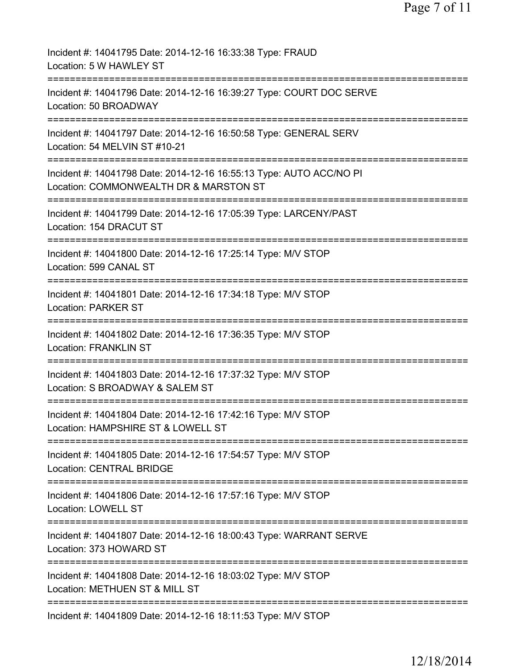| Incident #: 14041795 Date: 2014-12-16 16:33:38 Type: FRAUD<br>Location: 5 W HAWLEY ST                                   |
|-------------------------------------------------------------------------------------------------------------------------|
| Incident #: 14041796 Date: 2014-12-16 16:39:27 Type: COURT DOC SERVE<br>Location: 50 BROADWAY                           |
| Incident #: 14041797 Date: 2014-12-16 16:50:58 Type: GENERAL SERV<br>Location: 54 MELVIN ST #10-21                      |
| Incident #: 14041798 Date: 2014-12-16 16:55:13 Type: AUTO ACC/NO PI<br>Location: COMMONWEALTH DR & MARSTON ST           |
| =======================<br>Incident #: 14041799 Date: 2014-12-16 17:05:39 Type: LARCENY/PAST<br>Location: 154 DRACUT ST |
| Incident #: 14041800 Date: 2014-12-16 17:25:14 Type: M/V STOP<br>Location: 599 CANAL ST                                 |
| Incident #: 14041801 Date: 2014-12-16 17:34:18 Type: M/V STOP<br><b>Location: PARKER ST</b>                             |
| Incident #: 14041802 Date: 2014-12-16 17:36:35 Type: M/V STOP<br><b>Location: FRANKLIN ST</b>                           |
| ------------<br>Incident #: 14041803 Date: 2014-12-16 17:37:32 Type: M/V STOP<br>Location: S BROADWAY & SALEM ST        |
| Incident #: 14041804 Date: 2014-12-16 17:42:16 Type: M/V STOP<br>Location: HAMPSHIRE ST & LOWELL ST                     |
| Incident #: 14041805 Date: 2014-12-16 17:54:57 Type: M/V STOP<br><b>Location: CENTRAL BRIDGE</b>                        |
| Incident #: 14041806 Date: 2014-12-16 17:57:16 Type: M/V STOP<br><b>Location: LOWELL ST</b>                             |
| Incident #: 14041807 Date: 2014-12-16 18:00:43 Type: WARRANT SERVE<br>Location: 373 HOWARD ST                           |
| Incident #: 14041808 Date: 2014-12-16 18:03:02 Type: M/V STOP<br>Location: METHUEN ST & MILL ST                         |
| Incident #: 14041809 Date: 2014-12-16 18:11:53 Type: M/V STOP                                                           |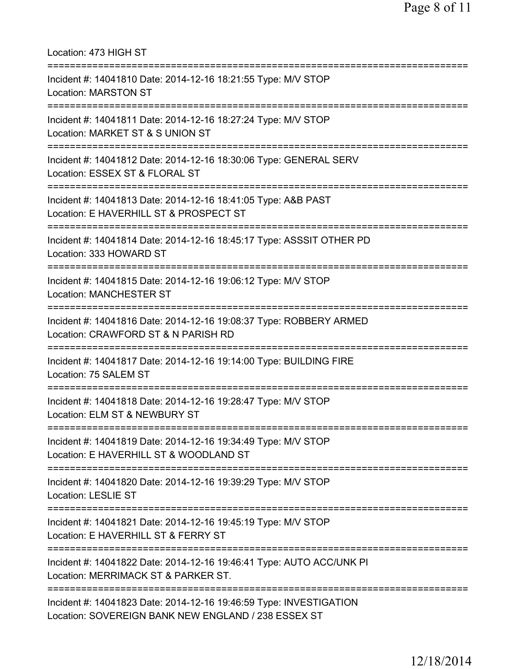| Location: 473 HIGH ST<br>===============================                                                                                        |
|-------------------------------------------------------------------------------------------------------------------------------------------------|
| Incident #: 14041810 Date: 2014-12-16 18:21:55 Type: M/V STOP<br><b>Location: MARSTON ST</b><br>================================                |
| Incident #: 14041811 Date: 2014-12-16 18:27:24 Type: M/V STOP<br>Location: MARKET ST & S UNION ST<br>======================================     |
| Incident #: 14041812 Date: 2014-12-16 18:30:06 Type: GENERAL SERV<br>Location: ESSEX ST & FLORAL ST                                             |
| Incident #: 14041813 Date: 2014-12-16 18:41:05 Type: A&B PAST<br>Location: E HAVERHILL ST & PROSPECT ST                                         |
| Incident #: 14041814 Date: 2014-12-16 18:45:17 Type: ASSSIT OTHER PD<br>Location: 333 HOWARD ST                                                 |
| Incident #: 14041815 Date: 2014-12-16 19:06:12 Type: M/V STOP<br><b>Location: MANCHESTER ST</b>                                                 |
| Incident #: 14041816 Date: 2014-12-16 19:08:37 Type: ROBBERY ARMED<br>Location: CRAWFORD ST & N PARISH RD                                       |
| Incident #: 14041817 Date: 2014-12-16 19:14:00 Type: BUILDING FIRE<br>Location: 75 SALEM ST                                                     |
| Incident #: 14041818 Date: 2014-12-16 19:28:47 Type: M/V STOP<br>Location: ELM ST & NEWBURY ST                                                  |
| ====================================<br>Incident #: 14041819 Date: 2014-12-16 19:34:49 Type: M/V STOP<br>Location: E HAVERHILL ST & WOODLAND ST |
| Incident #: 14041820 Date: 2014-12-16 19:39:29 Type: M/V STOP<br>Location: LESLIE ST                                                            |
| Incident #: 14041821 Date: 2014-12-16 19:45:19 Type: M/V STOP<br>Location: E HAVERHILL ST & FERRY ST                                            |
| Incident #: 14041822 Date: 2014-12-16 19:46:41 Type: AUTO ACC/UNK PI<br>Location: MERRIMACK ST & PARKER ST.                                     |
| Incident #: 14041823 Date: 2014-12-16 19:46:59 Type: INVESTIGATION<br>Location: SOVEREIGN BANK NEW ENGLAND / 238 ESSEX ST                       |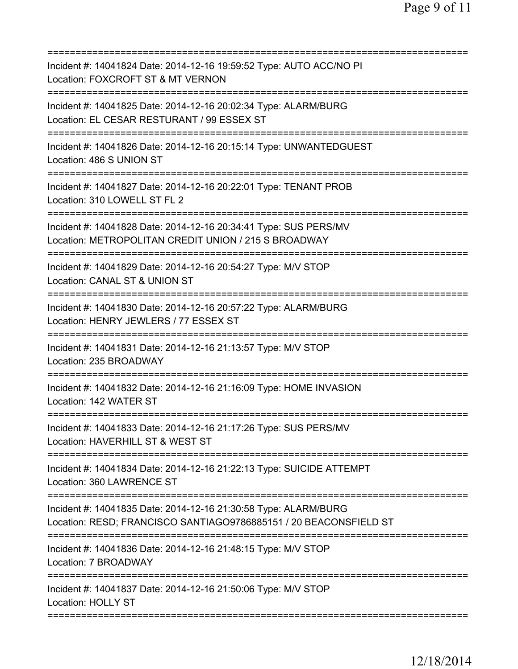| Incident #: 14041824 Date: 2014-12-16 19:59:52 Type: AUTO ACC/NO PI<br>Location: FOXCROFT ST & MT VERNON<br>============================              |
|-------------------------------------------------------------------------------------------------------------------------------------------------------|
| Incident #: 14041825 Date: 2014-12-16 20:02:34 Type: ALARM/BURG<br>Location: EL CESAR RESTURANT / 99 ESSEX ST<br>==================================== |
| Incident #: 14041826 Date: 2014-12-16 20:15:14 Type: UNWANTEDGUEST<br>Location: 486 S UNION ST                                                        |
| Incident #: 14041827 Date: 2014-12-16 20:22:01 Type: TENANT PROB<br>Location: 310 LOWELL ST FL 2                                                      |
| Incident #: 14041828 Date: 2014-12-16 20:34:41 Type: SUS PERS/MV<br>Location: METROPOLITAN CREDIT UNION / 215 S BROADWAY                              |
| Incident #: 14041829 Date: 2014-12-16 20:54:27 Type: M/V STOP<br>Location: CANAL ST & UNION ST<br>==========================                          |
| Incident #: 14041830 Date: 2014-12-16 20:57:22 Type: ALARM/BURG<br>Location: HENRY JEWLERS / 77 ESSEX ST<br>==========================                |
| Incident #: 14041831 Date: 2014-12-16 21:13:57 Type: M/V STOP<br>Location: 235 BROADWAY                                                               |
| Incident #: 14041832 Date: 2014-12-16 21:16:09 Type: HOME INVASION<br>Location: 142 WATER ST                                                          |
| Incident #: 14041833 Date: 2014-12-16 21:17:26 Type: SUS PERS/MV<br>Location: HAVERHILL ST & WEST ST                                                  |
| ;===============================<br>Incident #: 14041834 Date: 2014-12-16 21:22:13 Type: SUICIDE ATTEMPT<br>Location: 360 LAWRENCE ST                 |
| Incident #: 14041835 Date: 2014-12-16 21:30:58 Type: ALARM/BURG<br>Location: RESD; FRANCISCO SANTIAGO9786885151 / 20 BEACONSFIELD ST                  |
| Incident #: 14041836 Date: 2014-12-16 21:48:15 Type: M/V STOP<br>Location: 7 BROADWAY                                                                 |
| Incident #: 14041837 Date: 2014-12-16 21:50:06 Type: M/V STOP<br><b>Location: HOLLY ST</b>                                                            |
|                                                                                                                                                       |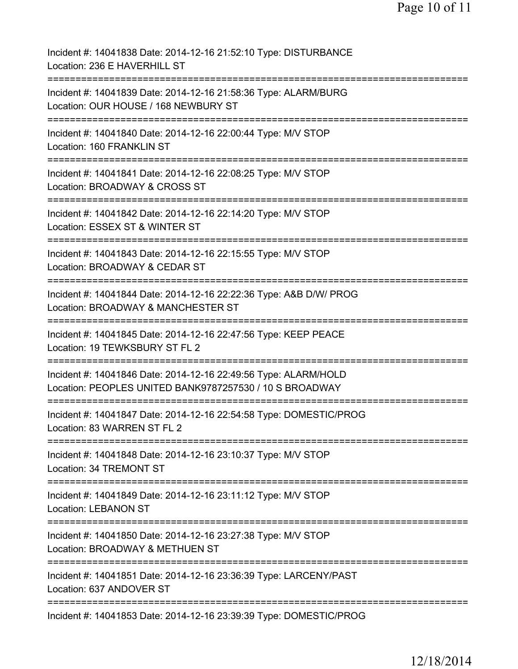| Incident #: 14041838 Date: 2014-12-16 21:52:10 Type: DISTURBANCE<br>Location: 236 E HAVERHILL ST                                                     |
|------------------------------------------------------------------------------------------------------------------------------------------------------|
| Incident #: 14041839 Date: 2014-12-16 21:58:36 Type: ALARM/BURG<br>Location: OUR HOUSE / 168 NEWBURY ST                                              |
| Incident #: 14041840 Date: 2014-12-16 22:00:44 Type: M/V STOP<br>Location: 160 FRANKLIN ST                                                           |
| Incident #: 14041841 Date: 2014-12-16 22:08:25 Type: M/V STOP<br>Location: BROADWAY & CROSS ST                                                       |
| Incident #: 14041842 Date: 2014-12-16 22:14:20 Type: M/V STOP<br>Location: ESSEX ST & WINTER ST                                                      |
| ===========================<br>Incident #: 14041843 Date: 2014-12-16 22:15:55 Type: M/V STOP<br>Location: BROADWAY & CEDAR ST                        |
| ==========================<br>----------<br>Incident #: 14041844 Date: 2014-12-16 22:22:36 Type: A&B D/W/ PROG<br>Location: BROADWAY & MANCHESTER ST |
| Incident #: 14041845 Date: 2014-12-16 22:47:56 Type: KEEP PEACE<br>Location: 19 TEWKSBURY ST FL 2                                                    |
| Incident #: 14041846 Date: 2014-12-16 22:49:56 Type: ALARM/HOLD<br>Location: PEOPLES UNITED BANK9787257530 / 10 S BROADWAY                           |
| Incident #: 14041847 Date: 2014-12-16 22:54:58 Type: DOMESTIC/PROG<br>Location: 83 WARREN ST FL 2                                                    |
| Incident #: 14041848 Date: 2014-12-16 23:10:37 Type: M/V STOP<br>Location: 34 TREMONT ST                                                             |
| Incident #: 14041849 Date: 2014-12-16 23:11:12 Type: M/V STOP<br><b>Location: LEBANON ST</b>                                                         |
| Incident #: 14041850 Date: 2014-12-16 23:27:38 Type: M/V STOP<br>Location: BROADWAY & METHUEN ST                                                     |
| Incident #: 14041851 Date: 2014-12-16 23:36:39 Type: LARCENY/PAST<br>Location: 637 ANDOVER ST                                                        |
| Incident #: 14041853 Date: 2014-12-16 23:39:39 Type: DOMESTIC/PROG                                                                                   |